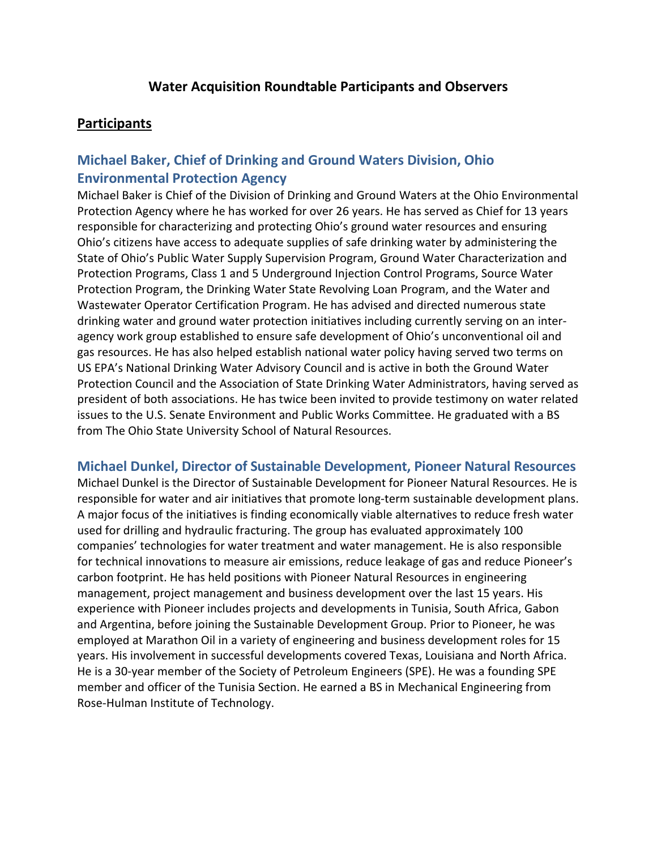### **Participants**

# **Michael Baker, Chief of Drinking and Ground Waters Division, Ohio Environmental Protection Agency**

Michael Baker is Chief of the Division of Drinking and Ground Waters at the Ohio Environmental Protection Agency where he has worked for over 26 years. He has served as Chief for 13 years responsible for characterizing and protecting Ohio's ground water resources and ensuring Ohio's citizens have access to adequate supplies of safe drinking water by administering the State of Ohio's Public Water Supply Supervision Program, Ground Water Characterization and Protection Programs, Class 1 and 5 Underground Injection Control Programs, Source Water Protection Program, the Drinking Water State Revolving Loan Program, and the Water and Wastewater Operator Certification Program. He has advised and directed numerous state drinking water and ground water protection initiatives including currently serving on an interagency work group established to ensure safe development of Ohio's unconventional oil and gas resources. He has also helped establish national water policy having served two terms on US EPA's National Drinking Water Advisory Council and is active in both the Ground Water Protection Council and the Association of State Drinking Water Administrators, having served as president of both associations. He has twice been invited to provide testimony on water related issues to the U.S. Senate Environment and Public Works Committee. He graduated with a BS from The Ohio State University School of Natural Resources.

#### **Michael Dunkel, Director of Sustainable Development, Pioneer Natural Resources**

Michael Dunkel is the Director of Sustainable Development for Pioneer Natural Resources. He is responsible for water and air initiatives that promote long-term sustainable development plans. A major focus of the initiatives is finding economically viable alternatives to reduce fresh water used for drilling and hydraulic fracturing. The group has evaluated approximately 100 companies' technologies for water treatment and water management. He is also responsible for technical innovations to measure air emissions, reduce leakage of gas and reduce Pioneer's carbon footprint. He has held positions with Pioneer Natural Resources in engineering management, project management and business development over the last 15 years. His experience with Pioneer includes projects and developments in Tunisia, South Africa, Gabon and Argentina, before joining the Sustainable Development Group. Prior to Pioneer, he was employed at Marathon Oil in a variety of engineering and business development roles for 15 years. His involvement in successful developments covered Texas, Louisiana and North Africa. He is a 30-year member of the Society of Petroleum Engineers (SPE). He was a founding SPE member and officer of the Tunisia Section. He earned a BS in Mechanical Engineering from Rose-Hulman Institute of Technology.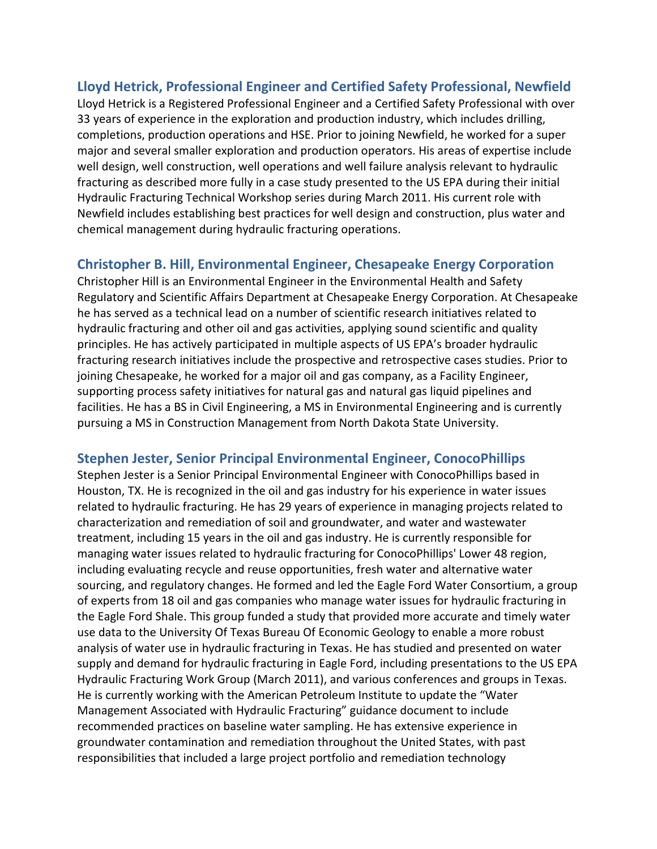### **Lloyd Hetrick, Professional Engineer and Certified Safety Professional, Newfield**

Lloyd Hetrick is a Registered Professional Engineer and a Certified Safety Professional with over 33 years of experience in the exploration and production industry, which includes drilling, completions, production operations and HSE. Prior to joining Newfield, he worked for a super major and several smaller exploration and production operators. His areas of expertise include well design, well construction, well operations and well failure analysis relevant to hydraulic fracturing as described more fully in a case study presented to the US EPA during their initial Hydraulic Fracturing Technical Workshop series during March 2011. His current role with Newfield includes establishing best practices for well design and construction, plus water and chemical management during hydraulic fracturing operations.

### **Christopher B. Hill, Environmental Engineer, Chesapeake Energy Corporation**

Christopher Hill is an Environmental Engineer in the Environmental Health and Safety Regulatory and Scientific Affairs Department at Chesapeake Energy Corporation. At Chesapeake he has served as a technical lead on a number of scientific research initiatives related to hydraulic fracturing and other oil and gas activities, applying sound scientific and quality principles. He has actively participated in multiple aspects of US EPA's broader hydraulic fracturing research initiatives include the prospective and retrospective cases studies. Prior to joining Chesapeake, he worked for a major oil and gas company, as a Facility Engineer, supporting process safety initiatives for natural gas and natural gas liquid pipelines and facilities. He has a BS in Civil Engineering, a MS in Environmental Engineering and is currently pursuing a MS in Construction Management from North Dakota State University.

### **Stephen Jester, Senior Principal Environmental Engineer, ConocoPhillips**

Stephen Jester is a Senior Principal Environmental Engineer with ConocoPhillips based in Houston, TX. He is recognized in the oil and gas industry for his experience in water issues related to hydraulic fracturing. He has 29 years of experience in managing projects related to characterization and remediation of soil and groundwater, and water and wastewater treatment, including 15 years in the oil and gas industry. He is currently responsible for managing water issues related to hydraulic fracturing for ConocoPhillips' Lower 48 region, including evaluating recycle and reuse opportunities, fresh water and alternative water sourcing, and regulatory changes. He formed and led the Eagle Ford Water Consortium, a group of experts from 18 oil and gas companies who manage water issues for hydraulic fracturing in the Eagle Ford Shale. This group funded a study that provided more accurate and timely water use data to the University Of Texas Bureau Of Economic Geology to enable a more robust analysis of water use in hydraulic fracturing in Texas. He has studied and presented on water supply and demand for hydraulic fracturing in Eagle Ford, including presentations to the US EPA Hydraulic Fracturing Work Group (March 2011), and various conferences and groups in Texas. He is currently working with the American Petroleum Institute to update the "Water Management Associated with Hydraulic Fracturing" guidance document to include recommended practices on baseline water sampling. He has extensive experience in groundwater contamination and remediation throughout the United States, with past responsibilities that included a large project portfolio and remediation technology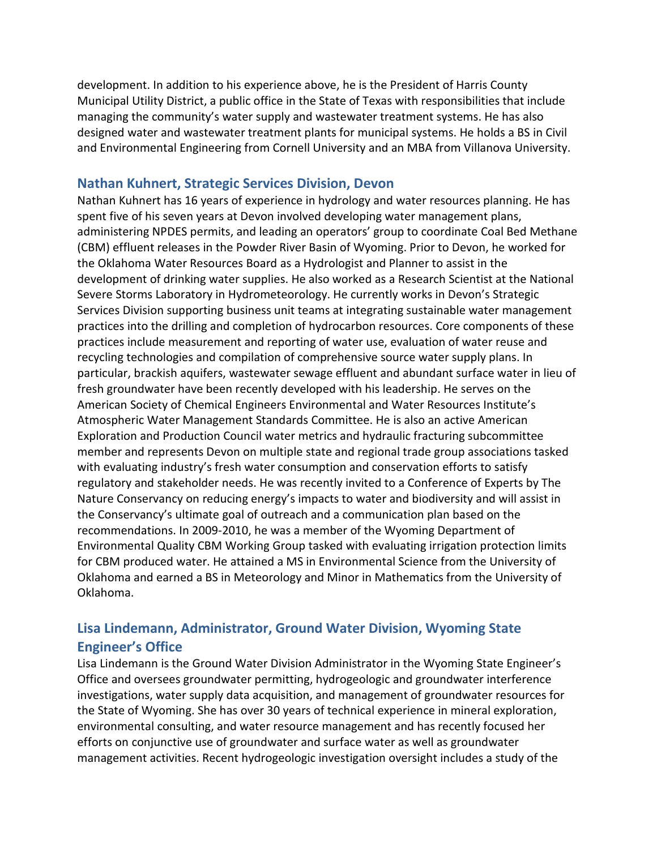development. In addition to his experience above, he is the President of Harris County Municipal Utility District, a public office in the State of Texas with responsibilities that include managing the community's water supply and wastewater treatment systems. He has also designed water and wastewater treatment plants for municipal systems. He holds a BS in Civil and Environmental Engineering from Cornell University and an MBA from Villanova University.

#### **Nathan Kuhnert, Strategic Services Division, Devon**

Nathan Kuhnert has 16 years of experience in hydrology and water resources planning. He has spent five of his seven years at Devon involved developing water management plans, administering NPDES permits, and leading an operators' group to coordinate Coal Bed Methane (CBM) effluent releases in the Powder River Basin of Wyoming. Prior to Devon, he worked for the Oklahoma Water Resources Board as a Hydrologist and Planner to assist in the development of drinking water supplies. He also worked as a Research Scientist at the National Severe Storms Laboratory in Hydrometeorology. He currently works in Devon's Strategic Services Division supporting business unit teams at integrating sustainable water management practices into the drilling and completion of hydrocarbon resources. Core components of these practices include measurement and reporting of water use, evaluation of water reuse and recycling technologies and compilation of comprehensive source water supply plans. In particular, brackish aquifers, wastewater sewage effluent and abundant surface water in lieu of fresh groundwater have been recently developed with his leadership. He serves on the American Society of Chemical Engineers Environmental and Water Resources Institute's Atmospheric Water Management Standards Committee. He is also an active American Exploration and Production Council water metrics and hydraulic fracturing subcommittee member and represents Devon on multiple state and regional trade group associations tasked with evaluating industry's fresh water consumption and conservation efforts to satisfy regulatory and stakeholder needs. He was recently invited to a Conference of Experts by The Nature Conservancy on reducing energy's impacts to water and biodiversity and will assist in the Conservancy's ultimate goal of outreach and a communication plan based on the recommendations. In 2009-2010, he was a member of the Wyoming Department of Environmental Quality CBM Working Group tasked with evaluating irrigation protection limits for CBM produced water. He attained a MS in Environmental Science from the University of Oklahoma and earned a BS in Meteorology and Minor in Mathematics from the University of Oklahoma.

## **Lisa Lindemann, Administrator, Ground Water Division, Wyoming State Engineer's Office**

Lisa Lindemann is the Ground Water Division Administrator in the Wyoming State Engineer's Office and oversees groundwater permitting, hydrogeologic and groundwater interference investigations, water supply data acquisition, and management of groundwater resources for the State of Wyoming. She has over 30 years of technical experience in mineral exploration, environmental consulting, and water resource management and has recently focused her efforts on conjunctive use of groundwater and surface water as well as groundwater management activities. Recent hydrogeologic investigation oversight includes a study of the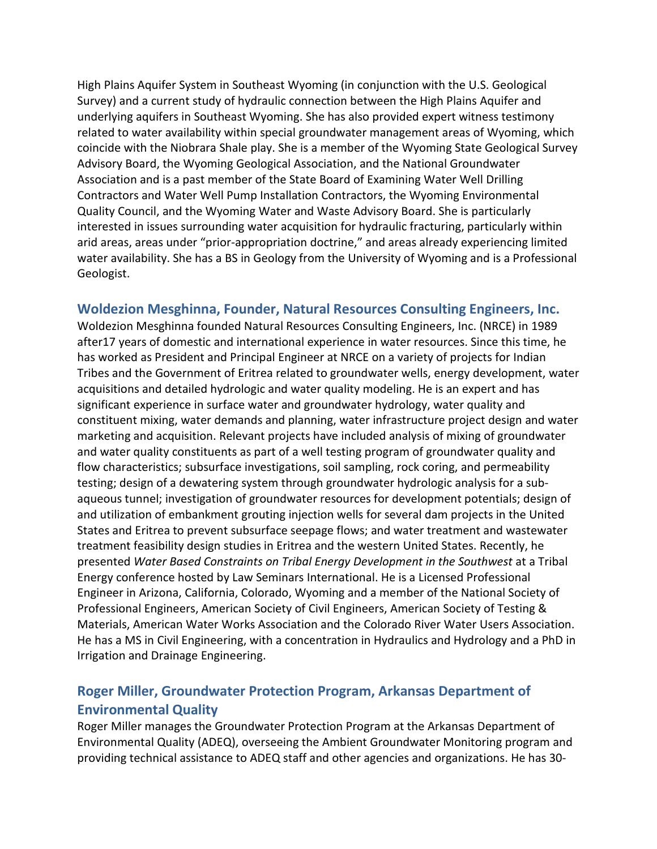High Plains Aquifer System in Southeast Wyoming (in conjunction with the U.S. Geological Survey) and a current study of hydraulic connection between the High Plains Aquifer and underlying aquifers in Southeast Wyoming. She has also provided expert witness testimony related to water availability within special groundwater management areas of Wyoming, which coincide with the Niobrara Shale play. She is a member of the Wyoming State Geological Survey Advisory Board, the Wyoming Geological Association, and the National Groundwater Association and is a past member of the State Board of Examining Water Well Drilling Contractors and Water Well Pump Installation Contractors, the Wyoming Environmental Quality Council, and the Wyoming Water and Waste Advisory Board. She is particularly interested in issues surrounding water acquisition for hydraulic fracturing, particularly within arid areas, areas under "prior-appropriation doctrine," and areas already experiencing limited water availability. She has a BS in Geology from the University of Wyoming and is a Professional Geologist.

### **Woldezion Mesghinna, Founder, Natural Resources Consulting Engineers, Inc.**

Woldezion Mesghinna founded Natural Resources Consulting Engineers, Inc. (NRCE) in 1989 after17 years of domestic and international experience in water resources. Since this time, he has worked as President and Principal Engineer at NRCE on a variety of projects for Indian Tribes and the Government of Eritrea related to groundwater wells, energy development, water acquisitions and detailed hydrologic and water quality modeling. He is an expert and has significant experience in surface water and groundwater hydrology, water quality and constituent mixing, water demands and planning, water infrastructure project design and water marketing and acquisition. Relevant projects have included analysis of mixing of groundwater and water quality constituents as part of a well testing program of groundwater quality and flow characteristics; subsurface investigations, soil sampling, rock coring, and permeability testing; design of a dewatering system through groundwater hydrologic analysis for a subaqueous tunnel; investigation of groundwater resources for development potentials; design of and utilization of embankment grouting injection wells for several dam projects in the United States and Eritrea to prevent subsurface seepage flows; and water treatment and wastewater treatment feasibility design studies in Eritrea and the western United States. Recently, he presented *Water Based Constraints on Tribal Energy Development in the Southwest* at a Tribal Energy conference hosted by Law Seminars International. He is a Licensed Professional Engineer in Arizona, California, Colorado, Wyoming and a member of the National Society of Professional Engineers, American Society of Civil Engineers, American Society of Testing & Materials, American Water Works Association and the Colorado River Water Users Association. He has a MS in Civil Engineering, with a concentration in Hydraulics and Hydrology and a PhD in Irrigation and Drainage Engineering.

## **Roger Miller, Groundwater Protection Program, Arkansas Department of Environmental Quality**

Roger Miller manages the Groundwater Protection Program at the Arkansas Department of Environmental Quality (ADEQ), overseeing the Ambient Groundwater Monitoring program and providing technical assistance to ADEQ staff and other agencies and organizations. He has 30-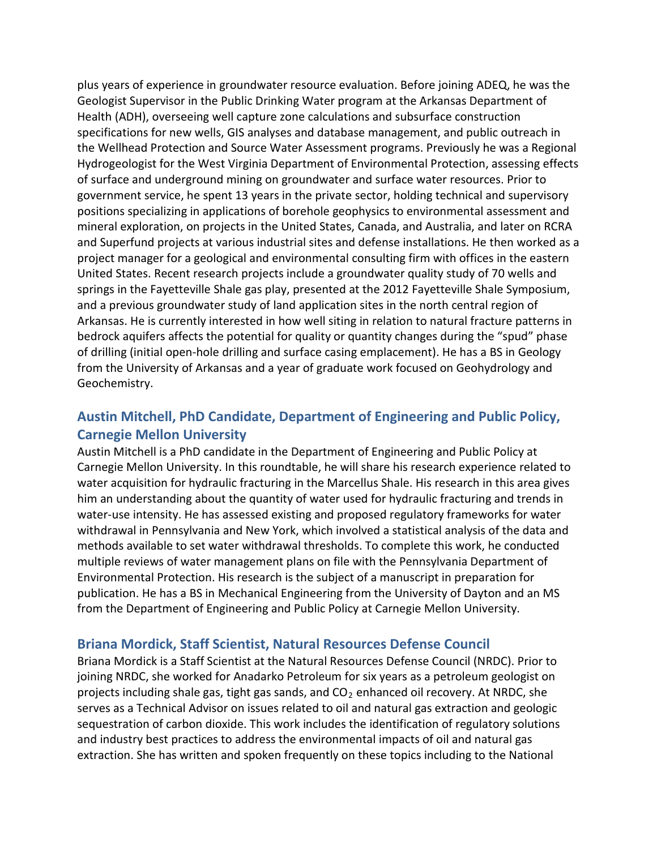plus years of experience in groundwater resource evaluation. Before joining ADEQ, he was the Geologist Supervisor in the Public Drinking Water program at the Arkansas Department of Health (ADH), overseeing well capture zone calculations and subsurface construction specifications for new wells, GIS analyses and database management, and public outreach in the Wellhead Protection and Source Water Assessment programs. Previously he was a Regional Hydrogeologist for the West Virginia Department of Environmental Protection, assessing effects of surface and underground mining on groundwater and surface water resources. Prior to government service, he spent 13 years in the private sector, holding technical and supervisory positions specializing in applications of borehole geophysics to environmental assessment and mineral exploration, on projects in the United States, Canada, and Australia, and later on RCRA and Superfund projects at various industrial sites and defense installations. He then worked as a project manager for a geological and environmental consulting firm with offices in the eastern United States. Recent research projects include a groundwater quality study of 70 wells and springs in the Fayetteville Shale gas play, presented at the 2012 Fayetteville Shale Symposium, and a previous groundwater study of land application sites in the north central region of Arkansas. He is currently interested in how well siting in relation to natural fracture patterns in bedrock aquifers affects the potential for quality or quantity changes during the "spud" phase of drilling (initial open-hole drilling and surface casing emplacement). He has a BS in Geology from the University of Arkansas and a year of graduate work focused on Geohydrology and Geochemistry.

# **Austin Mitchell, PhD Candidate, Department of Engineering and Public Policy, Carnegie Mellon University**

Austin Mitchell is a PhD candidate in the Department of Engineering and Public Policy at Carnegie Mellon University. In this roundtable, he will share his research experience related to water acquisition for hydraulic fracturing in the Marcellus Shale. His research in this area gives him an understanding about the quantity of water used for hydraulic fracturing and trends in water-use intensity. He has assessed existing and proposed regulatory frameworks for water withdrawal in Pennsylvania and New York, which involved a statistical analysis of the data and methods available to set water withdrawal thresholds. To complete this work, he conducted multiple reviews of water management plans on file with the Pennsylvania Department of Environmental Protection. His research is the subject of a manuscript in preparation for publication. He has a BS in Mechanical Engineering from the University of Dayton and an MS from the Department of Engineering and Public Policy at Carnegie Mellon University.

#### **Briana Mordick, Staff Scientist, Natural Resources Defense Council**

Briana Mordick is a Staff Scientist at the Natural Resources Defense Council (NRDC). Prior to joining NRDC, she worked for Anadarko Petroleum for six years as a petroleum geologist on projects including shale gas, tight gas sands, and  $CO<sub>2</sub>$  enhanced oil recovery. At NRDC, she serves as a Technical Advisor on issues related to oil and natural gas extraction and geologic sequestration of carbon dioxide. This work includes the identification of regulatory solutions and industry best practices to address the environmental impacts of oil and natural gas extraction. She has written and spoken frequently on these topics including to the National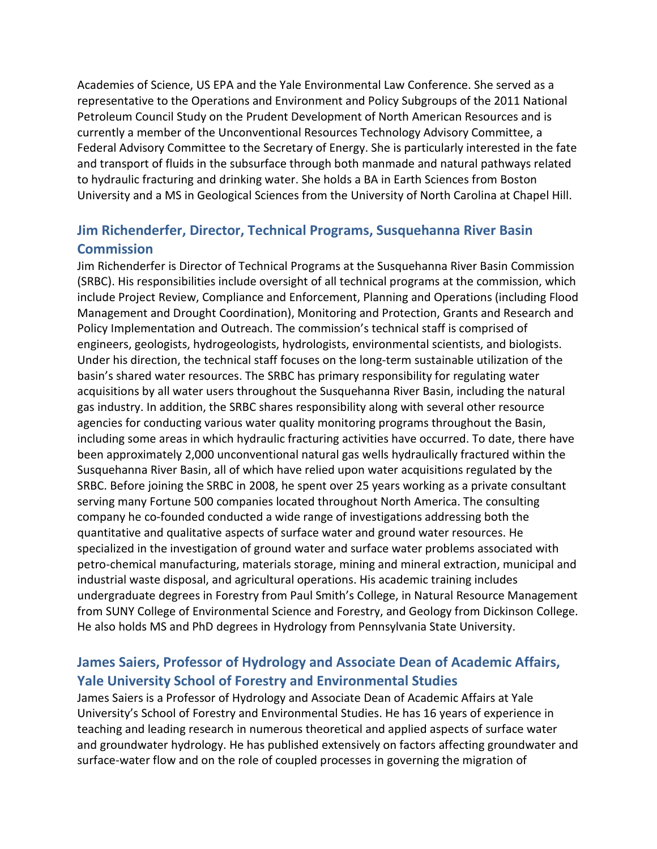Academies of Science, US EPA and the Yale Environmental Law Conference. She served as a representative to the Operations and Environment and Policy Subgroups of the 2011 National Petroleum Council Study on the Prudent Development of North American Resources and is currently a member of the Unconventional Resources Technology Advisory Committee, a Federal Advisory Committee to the Secretary of Energy. She is particularly interested in the fate and transport of fluids in the subsurface through both manmade and natural pathways related to hydraulic fracturing and drinking water. She holds a BA in Earth Sciences from Boston University and a MS in Geological Sciences from the University of North Carolina at Chapel Hill.

# **Jim Richenderfer, Director, Technical Programs, Susquehanna River Basin Commission**

Jim Richenderfer is Director of Technical Programs at the Susquehanna River Basin Commission (SRBC). His responsibilities include oversight of all technical programs at the commission, which include Project Review, Compliance and Enforcement, Planning and Operations (including Flood Management and Drought Coordination), Monitoring and Protection, Grants and Research and Policy Implementation and Outreach. The commission's technical staff is comprised of engineers, geologists, hydrogeologists, hydrologists, environmental scientists, and biologists. Under his direction, the technical staff focuses on the long-term sustainable utilization of the basin's shared water resources. The SRBC has primary responsibility for regulating water acquisitions by all water users throughout the Susquehanna River Basin, including the natural gas industry. In addition, the SRBC shares responsibility along with several other resource agencies for conducting various water quality monitoring programs throughout the Basin, including some areas in which hydraulic fracturing activities have occurred. To date, there have been approximately 2,000 unconventional natural gas wells hydraulically fractured within the Susquehanna River Basin, all of which have relied upon water acquisitions regulated by the SRBC. Before joining the SRBC in 2008, he spent over 25 years working as a private consultant serving many Fortune 500 companies located throughout North America. The consulting company he co-founded conducted a wide range of investigations addressing both the quantitative and qualitative aspects of surface water and ground water resources. He specialized in the investigation of ground water and surface water problems associated with petro-chemical manufacturing, materials storage, mining and mineral extraction, municipal and industrial waste disposal, and agricultural operations. His academic training includes undergraduate degrees in Forestry from Paul Smith's College, in Natural Resource Management from SUNY College of Environmental Science and Forestry, and Geology from Dickinson College. He also holds MS and PhD degrees in Hydrology from Pennsylvania State University.

## **James Saiers, Professor of Hydrology and Associate Dean of Academic Affairs, Yale University School of Forestry and Environmental Studies**

James Saiers is a Professor of Hydrology and Associate Dean of Academic Affairs at Yale University's School of Forestry and Environmental Studies. He has 16 years of experience in teaching and leading research in numerous theoretical and applied aspects of surface water and groundwater hydrology. He has published extensively on factors affecting groundwater and surface-water flow and on the role of coupled processes in governing the migration of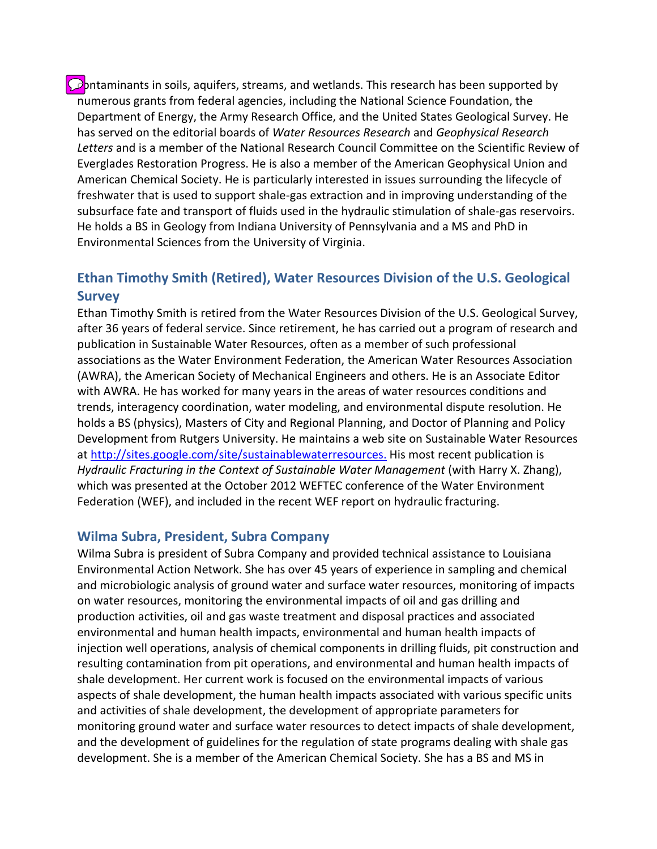**Contaminants in soils, aquifers, streams, and wetlands. This research has been supported by** numerous grants from federal agencies, including the National Science Foundation, the Department of Energy, the Army Research Office, and the United States Geological Survey. He has served on the editorial boards of *Water Resources Research* and *Geophysical Research Letters* and is a member of the National Research Council Committee on the Scientific Review of Everglades Restoration Progress. He is also a member of the American Geophysical Union and American Chemical Society. He is particularly interested in issues surrounding the lifecycle of freshwater that is used to support shale-gas extraction and in improving understanding of the subsurface fate and transport of fluids used in the hydraulic stimulation of shale-gas reservoirs. He holds a BS in Geology from Indiana University of Pennsylvania and a MS and PhD in Environmental Sciences from the University of Virginia.

# **Ethan Timothy Smith (Retired), Water Resources Division of the U.S. Geological Survey**

Ethan Timothy Smith is retired from the Water Resources Division of the U.S. Geological Survey, after 36 years of federal service. Since retirement, he has carried out a program of research and publication in Sustainable Water Resources, often as a member of such professional associations as the Water Environment Federation, the American Water Resources Association (AWRA), the American Society of Mechanical Engineers and others. He is an Associate Editor with AWRA. He has worked for many years in the areas of water resources conditions and trends, interagency coordination, water modeling, and environmental dispute resolution. He holds a BS (physics), Masters of City and Regional Planning, and Doctor of Planning and Policy Development from Rutgers University. He maintains a web site on Sustainable Water Resources at<http://sites.google.com/site/sustainablewaterresources.> His most recent publication is *Hydraulic Fracturing in the Context of Sustainable Water Management* (with Harry X. Zhang), which was presented at the October 2012 WEFTEC conference of the Water Environment Federation (WEF), and included in the recent WEF report on hydraulic fracturing.

### **Wilma Subra, President, Subra Company**

Wilma Subra is president of Subra Company and provided technical assistance to Louisiana Environmental Action Network. She has over 45 years of experience in sampling and chemical and microbiologic analysis of ground water and surface water resources, monitoring of impacts on water resources, monitoring the environmental impacts of oil and gas drilling and production activities, oil and gas waste treatment and disposal practices and associated environmental and human health impacts, environmental and human health impacts of injection well operations, analysis of chemical components in drilling fluids, pit construction and resulting contamination from pit operations, and environmental and human health impacts of shale development. Her current work is focused on the environmental impacts of various aspects of shale development, the human health impacts associated with various specific units and activities of shale development, the development of appropriate parameters for monitoring ground water and surface water resources to detect impacts of shale development, and the development of guidelines for the regulation of state programs dealing with shale gas development. She is a member of the American Chemical Society. She has a BS and MS in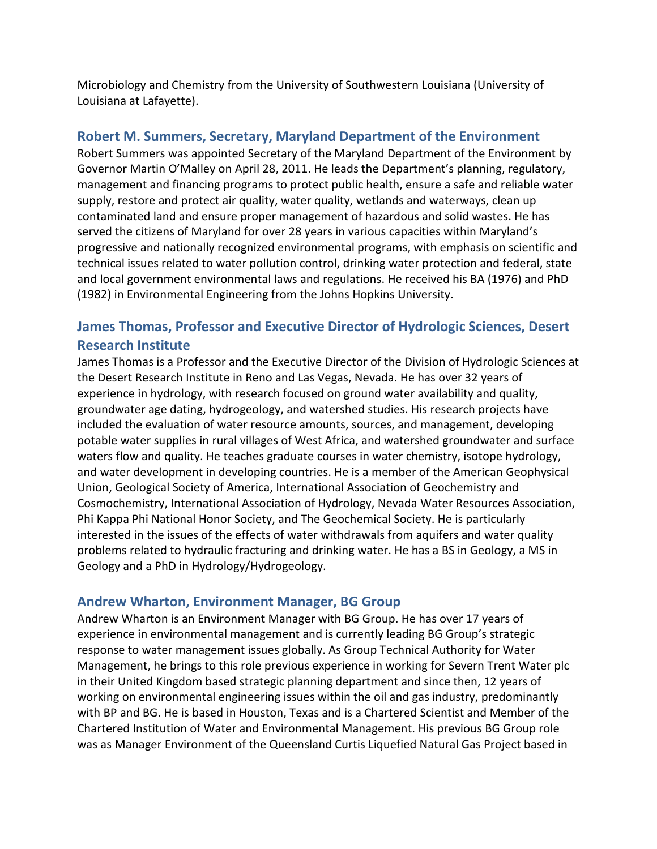Microbiology and Chemistry from the University of Southwestern Louisiana (University of Louisiana at Lafayette).

## **Robert M. Summers, Secretary, Maryland Department of the Environment**

Robert Summers was appointed Secretary of the Maryland Department of the Environment by Governor Martin O'Malley on April 28, 2011. He leads the Department's planning, regulatory, management and financing programs to protect public health, ensure a safe and reliable water supply, restore and protect air quality, water quality, wetlands and waterways, clean up contaminated land and ensure proper management of hazardous and solid wastes. He has served the citizens of Maryland for over 28 years in various capacities within Maryland's progressive and nationally recognized environmental programs, with emphasis on scientific and technical issues related to water pollution control, drinking water protection and federal, state and local government environmental laws and regulations. He received his BA (1976) and PhD (1982) in Environmental Engineering from the Johns Hopkins University.

# **James Thomas, Professor and Executive Director of Hydrologic Sciences, Desert Research Institute**

James Thomas is a Professor and the Executive Director of the Division of Hydrologic Sciences at the Desert Research Institute in Reno and Las Vegas, Nevada. He has over 32 years of experience in hydrology, with research focused on ground water availability and quality, groundwater age dating, hydrogeology, and watershed studies. His research projects have included the evaluation of water resource amounts, sources, and management, developing potable water supplies in rural villages of West Africa, and watershed groundwater and surface waters flow and quality. He teaches graduate courses in water chemistry, isotope hydrology, and water development in developing countries. He is a member of the American Geophysical Union, Geological Society of America, International Association of Geochemistry and Cosmochemistry, International Association of Hydrology, Nevada Water Resources Association, Phi Kappa Phi National Honor Society, and The Geochemical Society. He is particularly interested in the issues of the effects of water withdrawals from aquifers and water quality problems related to hydraulic fracturing and drinking water. He has a BS in Geology, a MS in Geology and a PhD in Hydrology/Hydrogeology.

### **Andrew Wharton, Environment Manager, BG Group**

Andrew Wharton is an Environment Manager with BG Group. He has over 17 years of experience in environmental management and is currently leading BG Group's strategic response to water management issues globally. As Group Technical Authority for Water Management, he brings to this role previous experience in working for Severn Trent Water plc in their United Kingdom based strategic planning department and since then, 12 years of working on environmental engineering issues within the oil and gas industry, predominantly with BP and BG. He is based in Houston, Texas and is a Chartered Scientist and Member of the Chartered Institution of Water and Environmental Management. His previous BG Group role was as Manager Environment of the Queensland Curtis Liquefied Natural Gas Project based in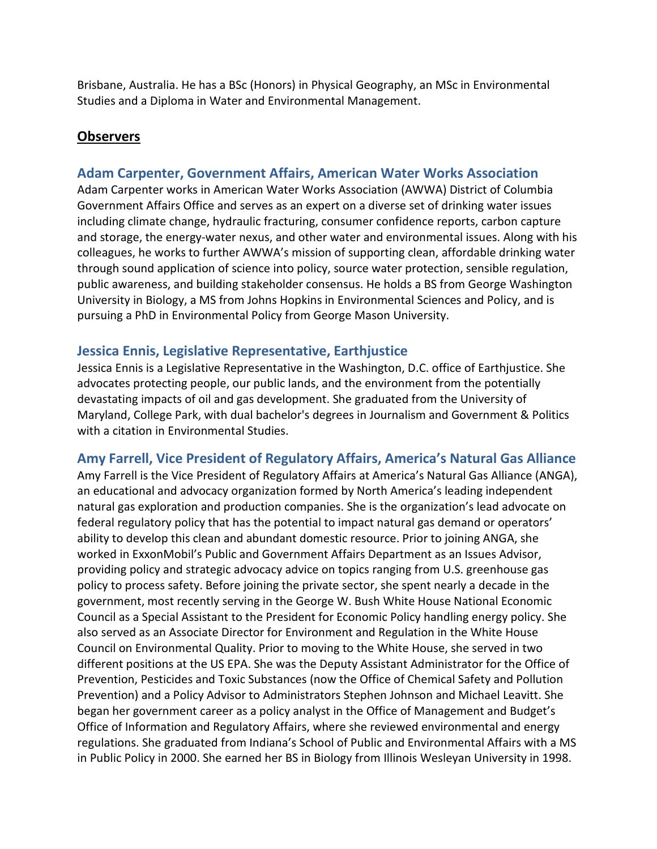Brisbane, Australia. He has a BSc (Honors) in Physical Geography, an MSc in Environmental Studies and a Diploma in Water and Environmental Management.

### **Observers**

### **Adam Carpenter, Government Affairs, American Water Works Association**

Adam Carpenter works in American Water Works Association (AWWA) District of Columbia Government Affairs Office and serves as an expert on a diverse set of drinking water issues including climate change, hydraulic fracturing, consumer confidence reports, carbon capture and storage, the energy-water nexus, and other water and environmental issues. Along with his colleagues, he works to further AWWA's mission of supporting clean, affordable drinking water through sound application of science into policy, source water protection, sensible regulation, public awareness, and building stakeholder consensus. He holds a BS from George Washington University in Biology, a MS from Johns Hopkins in Environmental Sciences and Policy, and is pursuing a PhD in Environmental Policy from George Mason University.

### **Jessica Ennis, Legislative Representative, Earthjustice**

Jessica Ennis is a Legislative Representative in the Washington, D.C. office of Earthjustice. She advocates protecting people, our public lands, and the environment from the potentially devastating impacts of oil and gas development. She graduated from the University of Maryland, College Park, with dual bachelor's degrees in Journalism and Government & Politics with a citation in Environmental Studies.

### **Amy Farrell, Vice President of Regulatory Affairs, America's Natural Gas Alliance**

Amy Farrell is the Vice President of Regulatory Affairs at America's Natural Gas Alliance (ANGA), an educational and advocacy organization formed by North America's leading independent natural gas exploration and production companies. She is the organization's lead advocate on federal regulatory policy that has the potential to impact natural gas demand or operators' ability to develop this clean and abundant domestic resource. Prior to joining ANGA, she worked in ExxonMobil's Public and Government Affairs Department as an Issues Advisor, providing policy and strategic advocacy advice on topics ranging from U.S. greenhouse gas policy to process safety. Before joining the private sector, she spent nearly a decade in the government, most recently serving in the George W. Bush White House National Economic Council as a Special Assistant to the President for Economic Policy handling energy policy. She also served as an Associate Director for Environment and Regulation in the White House Council on Environmental Quality. Prior to moving to the White House, she served in two different positions at the US EPA. She was the Deputy Assistant Administrator for the Office of Prevention, Pesticides and Toxic Substances (now the Office of Chemical Safety and Pollution Prevention) and a Policy Advisor to Administrators Stephen Johnson and Michael Leavitt. She began her government career as a policy analyst in the Office of Management and Budget's Office of Information and Regulatory Affairs, where she reviewed environmental and energy regulations. She graduated from Indiana's School of Public and Environmental Affairs with a MS in Public Policy in 2000. She earned her BS in Biology from Illinois Wesleyan University in 1998.